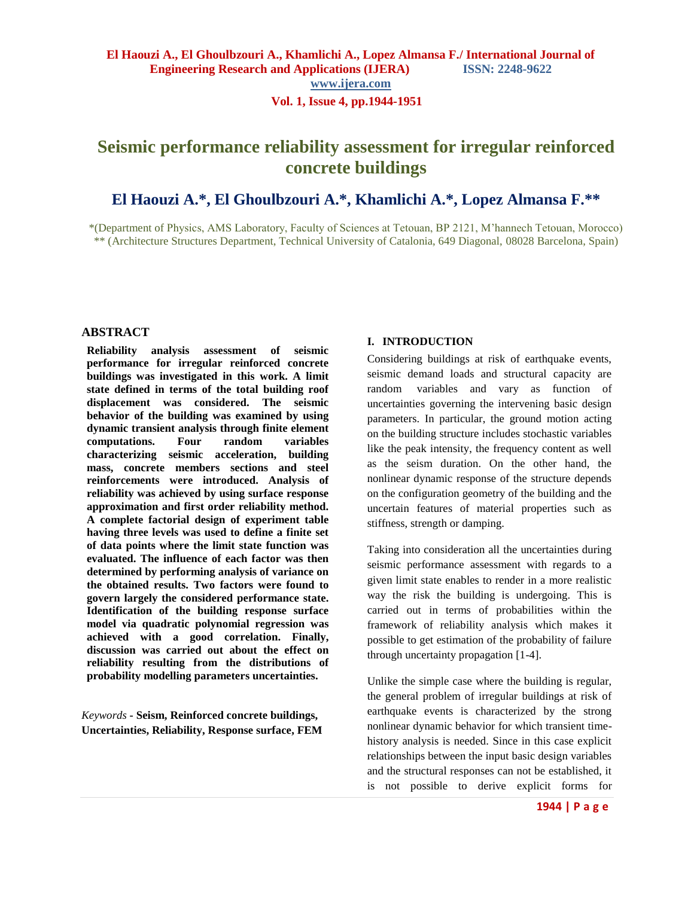# **Seismic performance reliability assessment for irregular reinforced concrete buildings**

# **El Haouzi A.\*, El Ghoulbzouri A.\*, Khamlichi A.\*, Lopez Almansa F.\*\***

\*(Department of Physics, AMS Laboratory, Faculty of Sciences at Tetouan, BP 2121, M'hannech Tetouan, Morocco) \*\* (Architecture Structures Department, Technical University of Catalonia, 649 Diagonal, 08028 Barcelona, Spain)

### **ABSTRACT**

**Reliability analysis assessment of seismic performance for irregular reinforced concrete buildings was investigated in this work. A limit state defined in terms of the total building roof displacement was considered. The seismic behavior of the building was examined by using dynamic transient analysis through finite element computations. Four random variables characterizing seismic acceleration, building mass, concrete members sections and steel reinforcements were introduced. Analysis of reliability was achieved by using surface response approximation and first order reliability method. A complete factorial design of experiment table having three levels was used to define a finite set of data points where the limit state function was evaluated. The influence of each factor was then determined by performing analysis of variance on the obtained results. Two factors were found to govern largely the considered performance state. Identification of the building response surface model via quadratic polynomial regression was achieved with a good correlation. Finally, discussion was carried out about the effect on reliability resulting from the distributions of probability modelling parameters uncertainties.**

*Keywords* **- Seism, Reinforced concrete buildings, Uncertainties, Reliability, Response surface, FEM**

### **I. INTRODUCTION**

Considering buildings at risk of earthquake events, seismic demand loads and structural capacity are random variables and vary as function of uncertainties governing the intervening basic design parameters. In particular, the ground motion acting on the building structure includes stochastic variables like the peak intensity, the frequency content as well as the seism duration. On the other hand, the nonlinear dynamic response of the structure depends on the configuration geometry of the building and the uncertain features of material properties such as stiffness, strength or damping.

Taking into consideration all the uncertainties during seismic performance assessment with regards to a given limit state enables to render in a more realistic way the risk the building is undergoing. This is carried out in terms of probabilities within the framework of reliability analysis which makes it possible to get estimation of the probability of failure through uncertainty propagation [1-4].

Unlike the simple case where the building is regular, the general problem of irregular buildings at risk of earthquake events is characterized by the strong nonlinear dynamic behavior for which transient timehistory analysis is needed. Since in this case explicit relationships between the input basic design variables and the structural responses can not be established, it is not possible to derive explicit forms for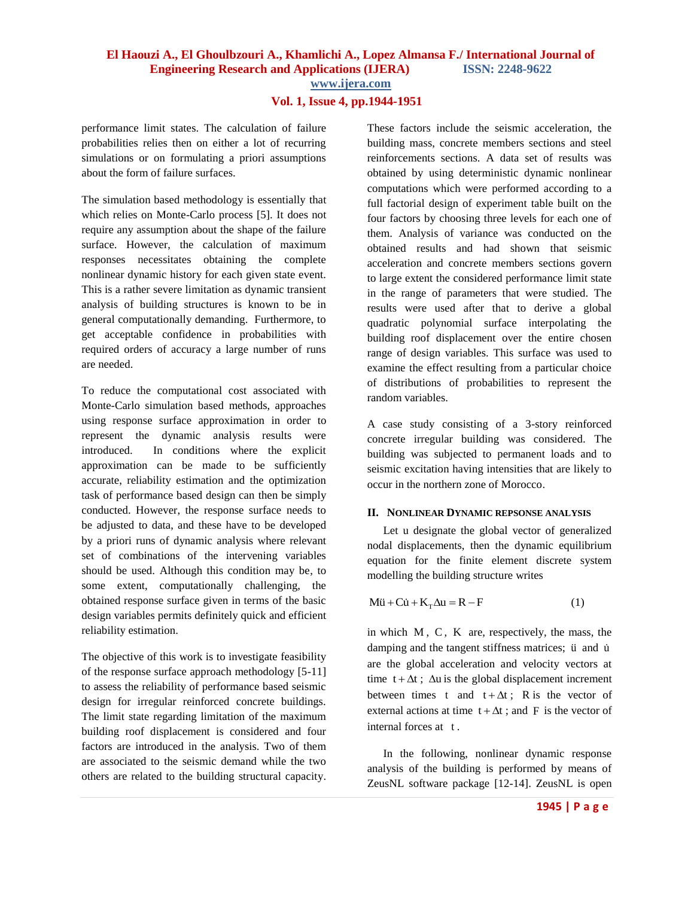# **Vol. 1, Issue 4, pp.1944-1951**

performance limit states. The calculation of failure probabilities relies then on either a lot of recurring simulations or on formulating a priori assumptions about the form of failure surfaces.

The simulation based methodology is essentially that which relies on Monte-Carlo process [5]. It does not require any assumption about the shape of the failure surface. However, the calculation of maximum responses necessitates obtaining the complete nonlinear dynamic history for each given state event. This is a rather severe limitation as dynamic transient analysis of building structures is known to be in general computationally demanding. Furthermore, to get acceptable confidence in probabilities with required orders of accuracy a large number of runs are needed.

To reduce the computational cost associated with Monte-Carlo simulation based methods, approaches using response surface approximation in order to represent the dynamic analysis results were introduced. In conditions where the explicit approximation can be made to be sufficiently accurate, reliability estimation and the optimization task of performance based design can then be simply conducted. However, the response surface needs to be adjusted to data, and these have to be developed by a priori runs of dynamic analysis where relevant set of combinations of the intervening variables should be used. Although this condition may be, to some extent, computationally challenging, the obtained response surface given in terms of the basic design variables permits definitely quick and efficient reliability estimation.

The objective of this work is to investigate feasibility of the response surface approach methodology [5-11] to assess the reliability of performance based seismic design for irregular reinforced concrete buildings. The limit state regarding limitation of the maximum building roof displacement is considered and four factors are introduced in the analysis. Two of them are associated to the seismic demand while the two others are related to the building structural capacity. These factors include the seismic acceleration, the building mass, concrete members sections and steel reinforcements sections. A data set of results was obtained by using deterministic dynamic nonlinear computations which were performed according to a full factorial design of experiment table built on the four factors by choosing three levels for each one of them. Analysis of variance was conducted on the obtained results and had shown that seismic acceleration and concrete members sections govern to large extent the considered performance limit state in the range of parameters that were studied. The results were used after that to derive a global quadratic polynomial surface interpolating the building roof displacement over the entire chosen range of design variables. This surface was used to examine the effect resulting from a particular choice of distributions of probabilities to represent the random variables.

A case study consisting of a 3-story reinforced concrete irregular building was considered. The building was subjected to permanent loads and to seismic excitation having intensities that are likely to occur in the northern zone of Morocco.

### **II. NONLINEAR DYNAMIC REPSONSE ANALYSIS**

Let u designate the global vector of generalized nodal displacements, then the dynamic equilibrium equation for the finite element discrete system modelling the building structure writes

$$
M\ddot{u} + C\dot{u} + K_{T}\Delta u = R - F
$$
 (1)

in which M , C , K are, respectively, the mass, the damping and the tangent stiffness matrices;  $\ddot{u}$  and  $\dot{u}$ are the global acceleration and velocity vectors at time  $t + \Delta t$ ;  $\Delta u$  is the global displacement increment between times t and  $t + \Delta t$ ; R is the vector of external actions at time  $t + \Delta t$ ; and F is the vector of internal forces at t .

In the following, nonlinear dynamic response analysis of the building is performed by means of ZeusNL software package [12-14]. ZeusNL is open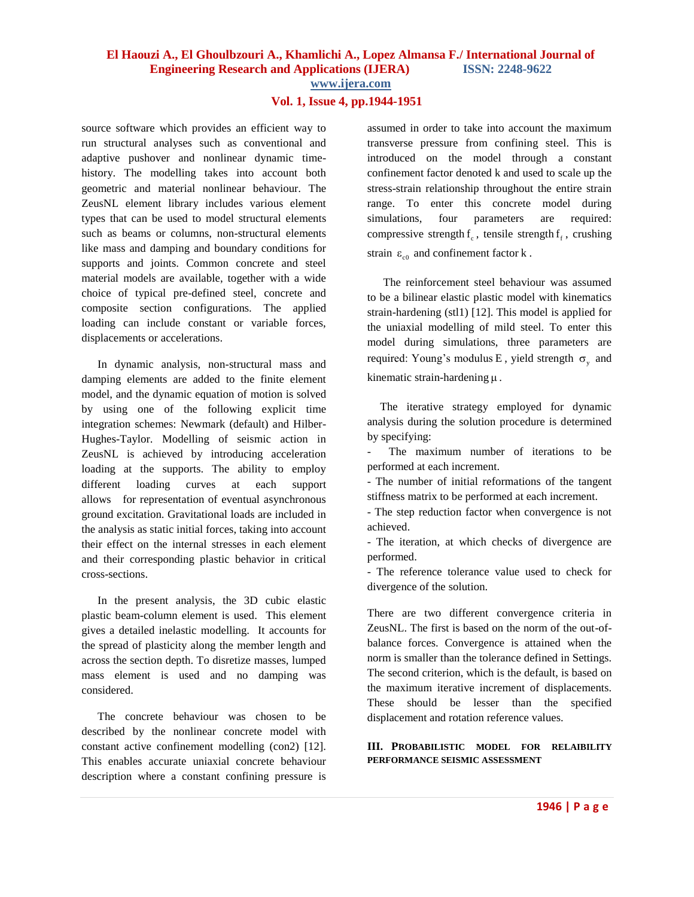### **Vol. 1, Issue 4, pp.1944-1951**

source software which provides an efficient way to run structural analyses such as conventional and adaptive pushover and nonlinear dynamic timehistory. The modelling takes into account both geometric and material nonlinear behaviour. The ZeusNL element library includes various element types that can be used to model structural elements such as beams or columns, non-structural elements like mass and damping and boundary conditions for supports and joints. Common concrete and steel material models are available, together with a wide choice of typical pre-defined steel, concrete and composite section configurations. The applied loading can include constant or variable forces, displacements or accelerations.

In dynamic analysis, non-structural mass and damping elements are added to the finite element model, and the dynamic equation of motion is solved by using one of the following explicit time integration schemes: Newmark (default) and Hilber-Hughes-Taylor. Modelling of seismic action in ZeusNL is achieved by introducing acceleration loading at the supports. The ability to employ different loading curves at each support allows for representation of eventual asynchronous ground excitation. Gravitational loads are included in the analysis as static initial forces, taking into account their effect on the internal stresses in each element and their corresponding plastic behavior in critical cross-sections.

In the present analysis, the 3D cubic elastic plastic beam-column element is used. This element gives a detailed inelastic modelling. It accounts for the spread of plasticity along the member length and across the section depth. To disretize masses, lumped mass element is used and no damping was considered.

The concrete behaviour was chosen to be described by the nonlinear concrete model with constant active confinement modelling (con2) [12]. This enables accurate uniaxial concrete behaviour description where a constant confining pressure is assumed in order to take into account the maximum transverse pressure from confining steel. This is introduced on the model through a constant confinement factor denoted k and used to scale up the stress-strain relationship throughout the entire strain range. To enter this concrete model during simulations, four parameters are required: compressive strength  $f_c$ , tensile strength  $f_f$ , crushing strain  $\varepsilon_{\rm c0}$  and confinement factor k.

The reinforcement steel behaviour was assumed to be a bilinear elastic plastic model with kinematics strain-hardening (stl1) [12]. This model is applied for the uniaxial modelling of mild steel. To enter this model during simulations, three parameters are required: Young's modulus E, yield strength  $\sigma_y$  and kinematic strain-hardening  $\mu$ .

The iterative strategy employed for dynamic analysis during the solution procedure is determined by specifying:

- The maximum number of iterations to be performed at each increment.

- The number of initial reformations of the tangent stiffness matrix to be performed at each increment.

- The step reduction factor when convergence is not achieved.

- The iteration, at which checks of divergence are performed.

- The reference tolerance value used to check for divergence of the solution.

There are two different convergence criteria in ZeusNL. The first is based on the norm of the out-ofbalance forces. Convergence is attained when the norm is smaller than the tolerance defined in Settings. The second criterion, which is the default, is based on the maximum iterative increment of displacements. These should be lesser than the specified displacement and rotation reference values.

**III. PROBABILISTIC MODEL FOR RELAIBILITY PERFORMANCE SEISMIC ASSESSMENT**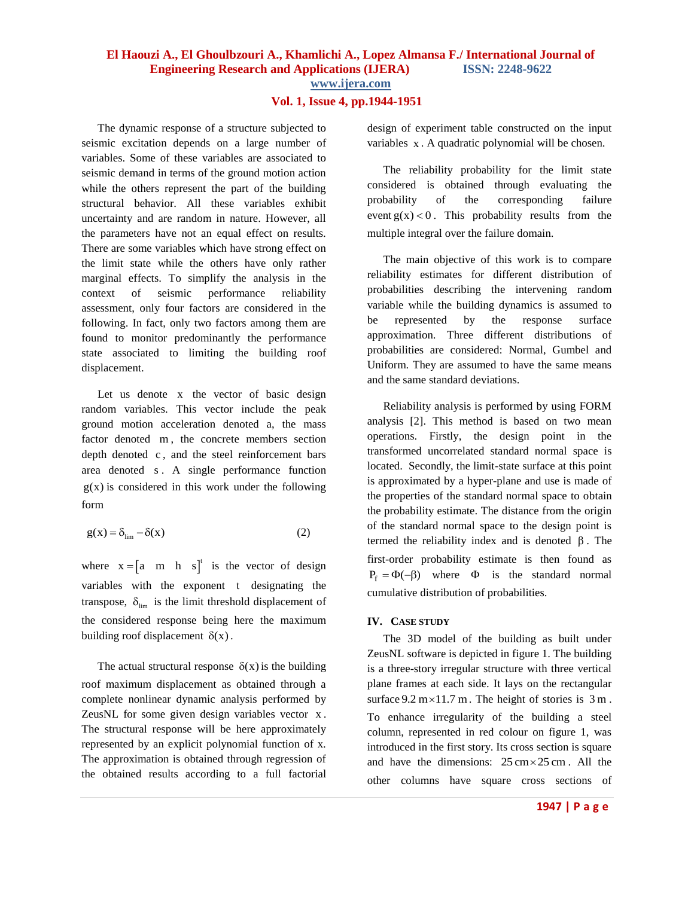# **Vol. 1, Issue 4, pp.1944-1951**

The dynamic response of a structure subjected to seismic excitation depends on a large number of variables. Some of these variables are associated to seismic demand in terms of the ground motion action while the others represent the part of the building structural behavior. All these variables exhibit uncertainty and are random in nature. However, all the parameters have not an equal effect on results. There are some variables which have strong effect on the limit state while the others have only rather marginal effects. To simplify the analysis in the context of seismic performance reliability assessment, only four factors are considered in the following. In fact, only two factors among them are found to monitor predominantly the performance state associated to limiting the building roof displacement.

Let us denote x the vector of basic design random variables. This vector include the peak ground motion acceleration denoted a, the mass factor denoted m , the concrete members section depth denoted c , and the steel reinforcement bars area denoted s . A single performance function  $g(x)$  is considered in this work under the following form

$$
g(x) = \delta_{\lim} - \delta(x) \tag{2}
$$

where  $x = \begin{bmatrix} a & m & h & s \end{bmatrix}^t$  is the vector of design variables with the exponent t designating the transpose,  $\delta_{\text{lim}}$  is the limit threshold displacement of the considered response being here the maximum building roof displacement  $\delta(x)$ .

The actual structural response  $\delta(x)$  is the building roof maximum displacement as obtained through a complete nonlinear dynamic analysis performed by ZeusNL for some given design variables vector x. The structural response will be here approximately represented by an explicit polynomial function of x. The approximation is obtained through regression of the obtained results according to a full factorial

design of experiment table constructed on the input variables x . A quadratic polynomial will be chosen.

The reliability probability for the limit state considered is obtained through evaluating the probability of the corresponding failure event  $g(x) < 0$ . This probability results from the multiple integral over the failure domain.

The main objective of this work is to compare reliability estimates for different distribution of probabilities describing the intervening random variable while the building dynamics is assumed to be represented by the response surface approximation. Three different distributions of probabilities are considered: Normal, Gumbel and Uniform. They are assumed to have the same means and the same standard deviations.

Reliability analysis is performed by using FORM analysis [2]. This method is based on two mean operations. Firstly, the design point in the transformed uncorrelated standard normal space is located. Secondly, the limit-state surface at this point is approximated by a hyper-plane and use is made of the properties of the standard normal space to obtain the probability estimate. The distance from the origin of the standard normal space to the design point is termed the reliability index and is denoted  $\beta$ . The first-order probability estimate is then found as  $P_f = \Phi(-\beta)$  where  $\Phi$  is the standard normal cumulative distribution of probabilities.

### **IV. CASE STUDY**

The 3D model of the building as built under ZeusNL software is depicted in figure 1. The building is a three-story irregular structure with three vertical plane frames at each side. It lays on the rectangular surface  $9.2 \text{ m} \times 11.7 \text{ m}$ . The height of stories is  $3 \text{ m}$ . To enhance irregularity of the building a steel column, represented in red colour on figure 1, was introduced in the first story. Its cross section is square and have the dimensions:  $25 \text{ cm} \times 25 \text{ cm}$ . All the other columns have square cross sections of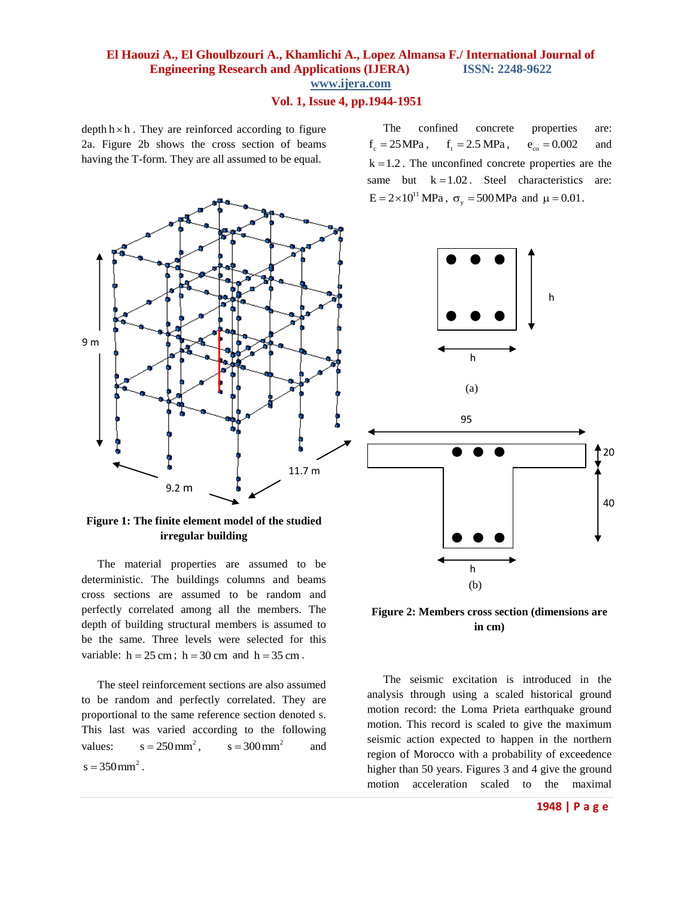# **Vol. 1, Issue 4, pp.1944-1951**

depth  $h \times h$ . They are reinforced according to figure 2a. Figure 2b shows the cross section of beams having the T-form. They are all assumed to be equal.



**Figure 1: The finite element model of the studied irregular building**

The material properties are assumed to be deterministic. The buildings columns and beams cross sections are assumed to be random and perfectly correlated among all the members. The depth of building structural members is assumed to be the same. Three levels were selected for this variable:  $h = 25$  cm;  $h = 30$  cm and  $h = 35$  cm.

The steel reinforcement sections are also assumed to be random and perfectly correlated. They are proportional to the same reference section denoted s. This last was varied according to the following values:  $s = 250$  mm<sup>2</sup>,  $s = 300 \,\text{mm}^2$ and  $s = 350 \,\text{mm}^2$ .

The confined concrete properties are:  $f_c = 25 MPa$ ,  $f_t = 2.5 \text{ MPa}$ ,  $e_{\rm co} = 0.002$ and  $k = 1.2$ . The unconfined concrete properties are the same but  $k = 1.02$ . Steel characteristics are:  $E = 2 \times 10^{11}$  MPa,  $\sigma_y = 500$  MPa and  $\mu = 0.01$ .





The seismic excitation is introduced in the analysis through using a scaled historical ground motion record: the Loma Prieta earthquake ground motion. This record is scaled to give the maximum seismic action expected to happen in the northern region of Morocco with a probability of exceedence higher than 50 years. Figures 3 and 4 give the ground motion acceleration scaled to the maximal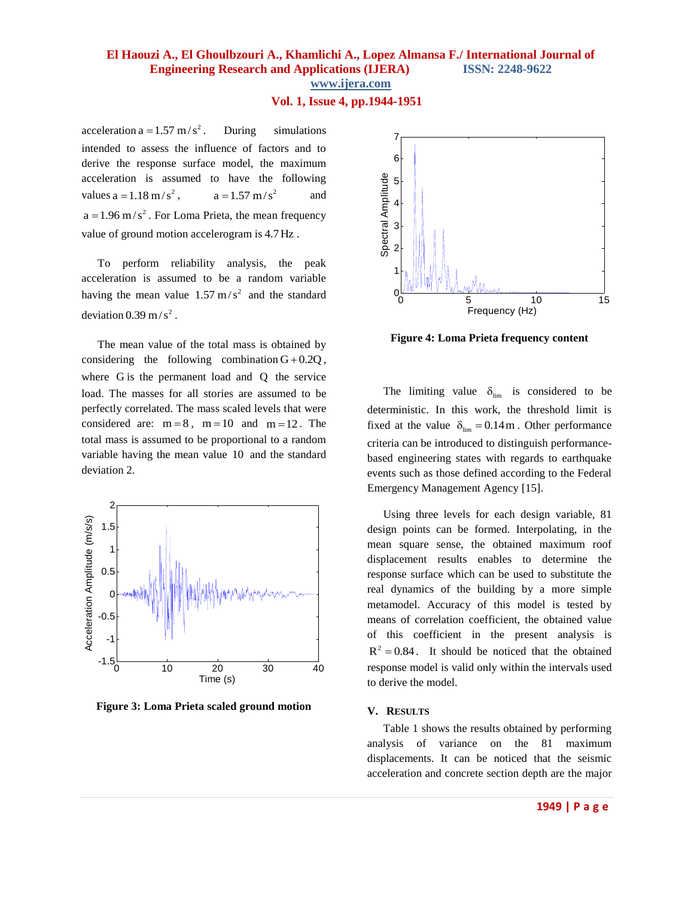# **Vol. 1, Issue 4, pp.1944-1951**

acceleration a =  $1.57 \text{ m/s}^2$ . During simulations intended to assess the influence of factors and to derive the response surface model, the maximum acceleration is assumed to have the following values  $a = 1.18$  m/s<sup>2</sup>,  $a = 1.57$  m/s<sup>2</sup> and  $a = 1.96$  m/s<sup>2</sup>. For Loma Prieta, the mean frequency value of ground motion accelerogram is 4.7Hz .

To perform reliability analysis, the peak acceleration is assumed to be a random variable having the mean value  $1.57 \text{ m/s}^2$  and the standard deviation  $0.39 \text{ m/s}^2$ .

The mean value of the total mass is obtained by considering the following combination  $G + 0.2Q$ , where G is the permanent load and Q the service load. The masses for all stories are assumed to be perfectly correlated. The mass scaled levels that were considered are:  $m = 8$ ,  $m = 10$  and  $m = 12$ . The total mass is assumed to be proportional to a random variable having the mean value 10 and the standard deviation 2.



**Figure 3: Loma Prieta scaled ground motion** 



**Figure 4: Loma Prieta frequency content**

The limiting value  $\delta_{\text{lim}}$  is considered to be deterministic. In this work, the threshold limit is fixed at the value  $\delta_{\text{lim}} = 0.14 \text{ m}$ . Other performance criteria can be introduced to distinguish performancebased engineering states with regards to earthquake events such as those defined according to the Federal Emergency Management Agency [15].

Using three levels for each design variable, 81 design points can be formed. Interpolating, in the mean square sense, the obtained maximum roof displacement results enables to determine the response surface which can be used to substitute the real dynamics of the building by a more simple metamodel. Accuracy of this model is tested by means of correlation coefficient, the obtained value of this coefficient in the present analysis is  $R^2 = 0.84$ . It should be noticed that the obtained response model is valid only within the intervals used to derive the model.

### **V. RESULTS**

Table 1 shows the results obtained by performing analysis of variance on the 81 maximum displacements. It can be noticed that the seismic acceleration and concrete section depth are the major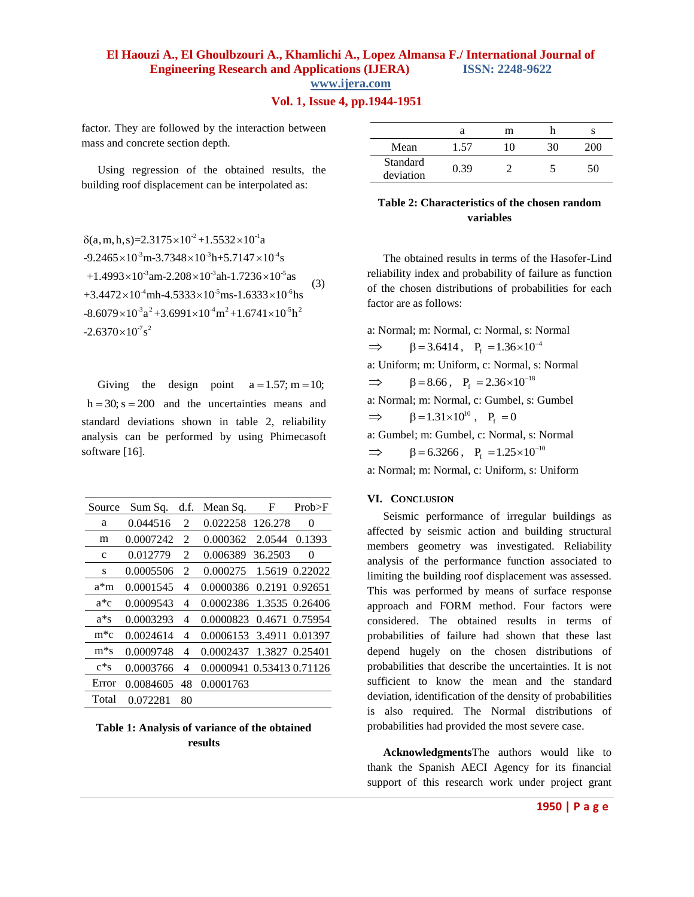### **Vol. 1, Issue 4, pp.1944-1951**

(3)

factor. They are followed by the interaction between mass and concrete section depth.

Using regression of the obtained results, the building roof displacement can be interpolated as:

 $\delta(a, m, h, s) = 2.3175 \times 10^{-2} + 1.5532 \times 10^{-1} a$  $\delta$ (a, m, h, s)=2.3175×10<sup>-2</sup> +1.5532×10<sup>-1</sup>a<br>-9.2465×10<sup>-3</sup> m-3.7348×10<sup>-3</sup>h+5.7147×10<sup>-4</sup>s  $-9.2465 \times 10^{3}$  m $-3.7348 \times 10^{3}$  h $+5.7147 \times 10^{4}$  s<br> $+1.4993 \times 10^{3}$  am $-2.208 \times 10^{3}$  ah $-1.7236 \times 10^{5}$  as  $+1.4993\times10^{-3}$ am-2.208 $\times10^{-3}$ ah-1.7236 $\times10^{-3}$ as<br> $+3.4472\times10^{-4}$ mh-4.5333 $\times10^{-5}$ ms-1.6333 $\times10^{-6}$ hs +3.4472×10<sup>-4</sup>mh-4.5333×10<sup>-3</sup>ms-1.6333×10<sup>-6</sup>hs<br>-8.6079×10<sup>-3</sup>a<sup>2</sup>+3.6991×10<sup>-4</sup>m<sup>2</sup>+1.6741×10<sup>-5</sup>h<sup>2</sup>

 $-2.6370\times10^{3} s^2$ 

|                       | а    | m  |    |
|-----------------------|------|----|----|
| Mean                  | 1.57 | 10 |    |
| Standard<br>deviation | 0.39 |    | 50 |

# **Table 2: Characteristics of the chosen random variables**

The obtained results in terms of the Hasofer-Lind reliability index and probability of failure as function of the chosen distributions of probabilities for each factor are as follows:

a: Normal; m: Normal, c: Normal, s: Normal  $\implies$   $\beta = 3.6414$ ,  $P_f = 1.36 \times 10^{-4}$ a: Uniform; m: Uniform, c: Normal, s: Normal  $\implies$   $\beta = 8.66$ ,  $P_f = 2.36 \times 10^{-18}$ a: Normal; m: Normal, c: Gumbel, s: Gumbel  $\implies$   $\beta = 1.31 \times 10^{10}$ ,  $P_f = 0$ a: Gumbel; m: Gumbel, c: Normal, s: Normal  $\Rightarrow$   $\beta = 6.3266$ ,  $P_f = 1.25 \times 10^{-10}$ a: Normal; m: Normal, c: Uniform, s: Uniform

### **VI. CONCLUSION**

Seismic performance of irregular buildings as affected by seismic action and building structural members geometry was investigated. Reliability analysis of the performance function associated to limiting the building roof displacement was assessed. This was performed by means of surface response approach and FORM method. Four factors were considered. The obtained results in terms of probabilities of failure had shown that these last depend hugely on the chosen distributions of probabilities that describe the uncertainties. It is not sufficient to know the mean and the standard deviation, identification of the density of probabilities is also required. The Normal distributions of probabilities had provided the most severe case.

**Acknowledgments**The authors would like to thank the Spanish AECI Agency for its financial support of this research work under project grant

Giving the design point  $a = 1.57$ ; m = 10;  $h = 30$ ;  $s = 200$  and the uncertainties means and standard deviations shown in table 2, reliability analysis can be performed by using Phimecasoft software [16].

| Source               | Sum Sa.   | d.f.           | Mean Sq.                  | F       | Prob>F         |
|----------------------|-----------|----------------|---------------------------|---------|----------------|
| a                    | 0.044516  | 2              | 0.022258                  | 126.278 | $\theta$       |
| m                    | 0.0007242 | 2              | 0.000362                  | 2.0544  | 0.1393         |
| c                    | 0.012779  | $\mathfrak{D}$ | 0.006389                  | 36.2503 | 0              |
| S                    | 0.0005506 | $\mathfrak{D}$ | 0.000275                  |         | 1.5619 0.22022 |
| a*m                  | 0.0001545 | 4              | 0.0000386                 |         | 0.2191 0.92651 |
| a*c                  | 0.0009543 | 4              | 0.0002386                 |         | 1.3535 0.26406 |
| a*s                  | 0.0003293 | 4              | 0.0000823                 |         | 0.4671 0.75954 |
| $m$ <sup>*</sup> $c$ | 0.0024614 | 4              | 0.0006153                 |         | 3.4911 0.01397 |
| $m*_{S}$             | 0.0009748 | 4              | 0.0002437                 |         | 1.3827 0.25401 |
| $c*s$                | 0.0003766 | 4              | 0.0000941 0.53413 0.71126 |         |                |
| Error                | 0.0084605 | 48             | 0.0001763                 |         |                |
| Total                | 0.072281  | 80             |                           |         |                |

**Table 1: Analysis of variance of the obtained results**